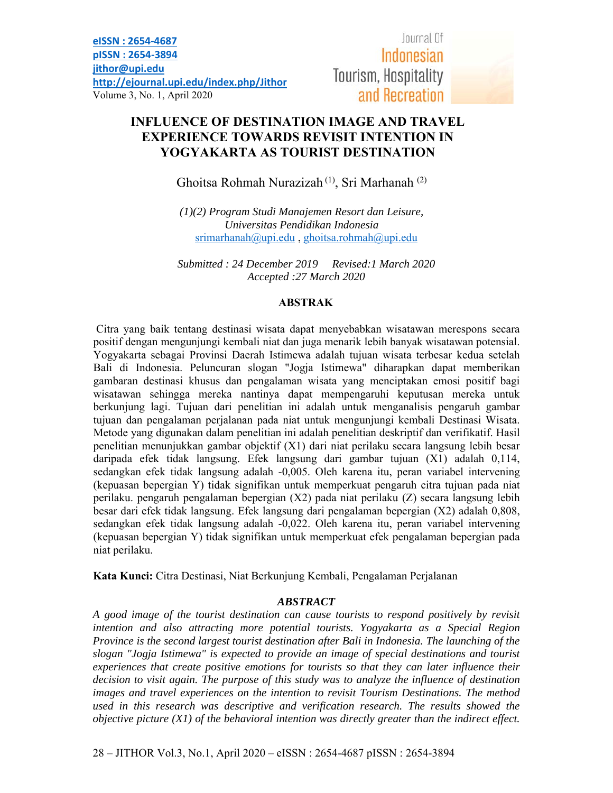Journal Of Indonesian Tourism, Hospitality and Recreation

# **INFLUENCE OF DESTINATION IMAGE AND TRAVEL EXPERIENCE TOWARDS REVISIT INTENTION IN YOGYAKARTA AS TOURIST DESTINATION**

Ghoitsa Rohmah Nurazizah (1), Sri Marhanah (2)

*(1)(2) Program Studi Manajemen Resort dan Leisure, Universitas Pendidikan Indonesia*  $s$ rimarhanah $@$ upi.edu, ghoitsa.rohmah $@$ upi.edu

*Submitted : 24 December 2019 Revised:1 March 2020 Accepted :27 March 2020* 

#### **ABSTRAK**

 Citra yang baik tentang destinasi wisata dapat menyebabkan wisatawan merespons secara positif dengan mengunjungi kembali niat dan juga menarik lebih banyak wisatawan potensial. Yogyakarta sebagai Provinsi Daerah Istimewa adalah tujuan wisata terbesar kedua setelah Bali di Indonesia. Peluncuran slogan "Jogja Istimewa" diharapkan dapat memberikan gambaran destinasi khusus dan pengalaman wisata yang menciptakan emosi positif bagi wisatawan sehingga mereka nantinya dapat mempengaruhi keputusan mereka untuk berkunjung lagi. Tujuan dari penelitian ini adalah untuk menganalisis pengaruh gambar tujuan dan pengalaman perjalanan pada niat untuk mengunjungi kembali Destinasi Wisata. Metode yang digunakan dalam penelitian ini adalah penelitian deskriptif dan verifikatif. Hasil penelitian menunjukkan gambar objektif (X1) dari niat perilaku secara langsung lebih besar daripada efek tidak langsung. Efek langsung dari gambar tujuan (X1) adalah 0,114, sedangkan efek tidak langsung adalah -0,005. Oleh karena itu, peran variabel intervening (kepuasan bepergian Y) tidak signifikan untuk memperkuat pengaruh citra tujuan pada niat perilaku. pengaruh pengalaman bepergian (X2) pada niat perilaku (Z) secara langsung lebih besar dari efek tidak langsung. Efek langsung dari pengalaman bepergian (X2) adalah 0,808, sedangkan efek tidak langsung adalah -0,022. Oleh karena itu, peran variabel intervening (kepuasan bepergian Y) tidak signifikan untuk memperkuat efek pengalaman bepergian pada niat perilaku.

**Kata Kunci:** Citra Destinasi, Niat Berkunjung Kembali, Pengalaman Perjalanan

## *ABSTRACT*

*A good image of the tourist destination can cause tourists to respond positively by revisit intention and also attracting more potential tourists. Yogyakarta as a Special Region Province is the second largest tourist destination after Bali in Indonesia. The launching of the slogan "Jogja Istimewa" is expected to provide an image of special destinations and tourist experiences that create positive emotions for tourists so that they can later influence their decision to visit again. The purpose of this study was to analyze the influence of destination images and travel experiences on the intention to revisit Tourism Destinations. The method used in this research was descriptive and verification research. The results showed the objective picture (X1) of the behavioral intention was directly greater than the indirect effect.*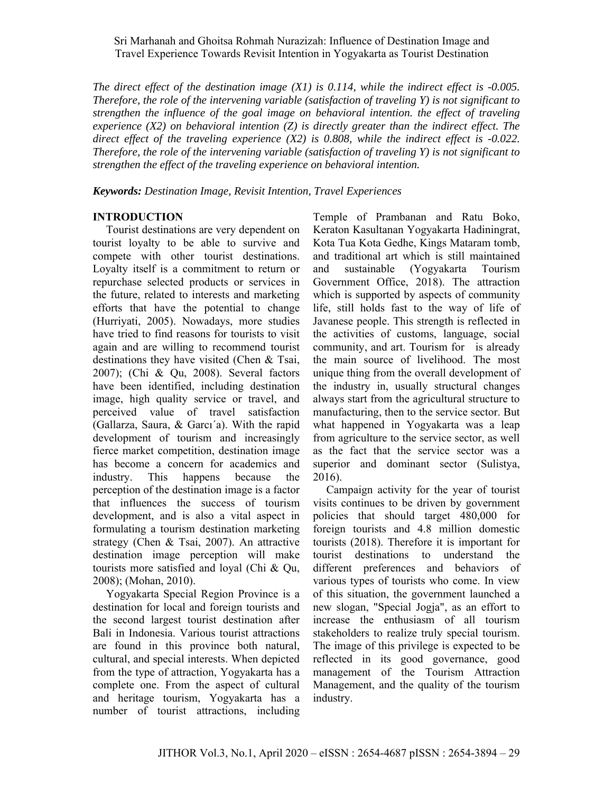*The direct effect of the destination image (X1) is 0.114, while the indirect effect is -0.005. Therefore, the role of the intervening variable (satisfaction of traveling Y) is not significant to strengthen the influence of the goal image on behavioral intention. the effect of traveling experience (X2) on behavioral intention (Z) is directly greater than the indirect effect. The direct effect of the traveling experience (X2) is 0.808, while the indirect effect is -0.022. Therefore, the role of the intervening variable (satisfaction of traveling Y) is not significant to strengthen the effect of the traveling experience on behavioral intention.* 

*Keywords: Destination Image, Revisit Intention, Travel Experiences* 

#### **INTRODUCTION**

Tourist destinations are very dependent on tourist loyalty to be able to survive and compete with other tourist destinations. Loyalty itself is a commitment to return or repurchase selected products or services in the future, related to interests and marketing efforts that have the potential to change (Hurriyati, 2005). Nowadays, more studies have tried to find reasons for tourists to visit again and are willing to recommend tourist destinations they have visited (Chen & Tsai, 2007); (Chi & Qu, 2008). Several factors have been identified, including destination image, high quality service or travel, and perceived value of travel satisfaction (Gallarza, Saura, & Garcı´a). With the rapid development of tourism and increasingly fierce market competition, destination image has become a concern for academics and industry. This happens because the perception of the destination image is a factor that influences the success of tourism development, and is also a vital aspect in formulating a tourism destination marketing strategy (Chen & Tsai, 2007). An attractive destination image perception will make tourists more satisfied and loyal (Chi & Qu, 2008); (Mohan, 2010).

Yogyakarta Special Region Province is a destination for local and foreign tourists and the second largest tourist destination after Bali in Indonesia. Various tourist attractions are found in this province both natural, cultural, and special interests. When depicted from the type of attraction, Yogyakarta has a complete one. From the aspect of cultural and heritage tourism, Yogyakarta has a number of tourist attractions, including

Temple of Prambanan and Ratu Boko, Keraton Kasultanan Yogyakarta Hadiningrat, Kota Tua Kota Gedhe, Kings Mataram tomb, and traditional art which is still maintained and sustainable (Yogyakarta Tourism Government Office, 2018). The attraction which is supported by aspects of community life, still holds fast to the way of life of Javanese people. This strength is reflected in the activities of customs, language, social community, and art. Tourism for is already the main source of livelihood. The most unique thing from the overall development of the industry in, usually structural changes always start from the agricultural structure to manufacturing, then to the service sector. But what happened in Yogyakarta was a leap from agriculture to the service sector, as well as the fact that the service sector was a superior and dominant sector (Sulistya, 2016).

Campaign activity for the year of tourist visits continues to be driven by government policies that should target 480,000 for foreign tourists and 4.8 million domestic tourists (2018). Therefore it is important for tourist destinations to understand the different preferences and behaviors of various types of tourists who come. In view of this situation, the government launched a new slogan, "Special Jogja", as an effort to increase the enthusiasm of all tourism stakeholders to realize truly special tourism. The image of this privilege is expected to be reflected in its good governance, good management of the Tourism Attraction Management, and the quality of the tourism industry.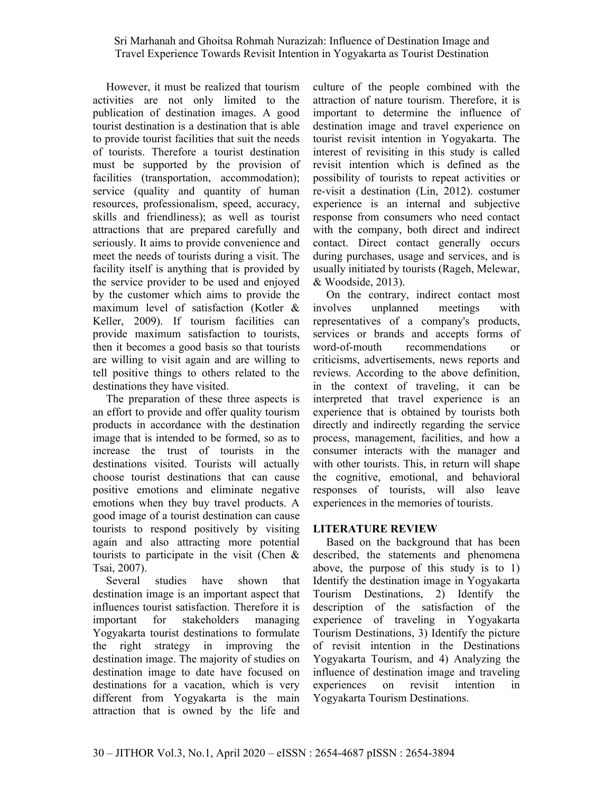However, it must be realized that tourism activities are not only limited to the publication of destination images. A good tourist destination is a destination that is able to provide tourist facilities that suit the needs of tourists. Therefore a tourist destination must be supported by the provision of facilities (transportation, accommodation); service (quality and quantity of human resources, professionalism, speed, accuracy, skills and friendliness); as well as tourist attractions that are prepared carefully and seriously. It aims to provide convenience and meet the needs of tourists during a visit. The facility itself is anything that is provided by the service provider to be used and enjoyed by the customer which aims to provide the maximum level of satisfaction (Kotler & Keller, 2009). If tourism facilities can provide maximum satisfaction to tourists, then it becomes a good basis so that tourists are willing to visit again and are willing to tell positive things to others related to the destinations they have visited.

The preparation of these three aspects is an effort to provide and offer quality tourism products in accordance with the destination image that is intended to be formed, so as to increase the trust of tourists in the destinations visited. Tourists will actually choose tourist destinations that can cause positive emotions and eliminate negative emotions when they buy travel products. A good image of a tourist destination can cause tourists to respond positively by visiting again and also attracting more potential tourists to participate in the visit (Chen & Tsai, 2007).

Several studies have shown that destination image is an important aspect that influences tourist satisfaction. Therefore it is important for stakeholders managing Yogyakarta tourist destinations to formulate the right strategy in improving the destination image. The majority of studies on destination image to date have focused on destinations for a vacation, which is very different from Yogyakarta is the main attraction that is owned by the life and

culture of the people combined with the attraction of nature tourism. Therefore, it is important to determine the influence of destination image and travel experience on tourist revisit intention in Yogyakarta. The interest of revisiting in this study is called revisit intention which is defined as the possibility of tourists to repeat activities or re-visit a destination (Lin, 2012). costumer experience is an internal and subjective response from consumers who need contact with the company, both direct and indirect contact. Direct contact generally occurs during purchases, usage and services, and is usually initiated by tourists (Rageh, Melewar, & Woodside, 2013).

On the contrary, indirect contact most involves unplanned meetings with representatives of a company's products, services or brands and accepts forms of word-of-mouth recommendations or criticisms, advertisements, news reports and reviews. According to the above definition, in the context of traveling, it can be interpreted that travel experience is an experience that is obtained by tourists both directly and indirectly regarding the service process, management, facilities, and how a consumer interacts with the manager and with other tourists. This, in return will shape the cognitive, emotional, and behavioral responses of tourists, will also leave experiences in the memories of tourists.

## **LITERATURE REVIEW**

Based on the background that has been described, the statements and phenomena above, the purpose of this study is to 1) Identify the destination image in Yogyakarta Tourism Destinations, 2) Identify the description of the satisfaction of the experience of traveling in Yogyakarta Tourism Destinations, 3) Identify the picture of revisit intention in the Destinations Yogyakarta Tourism, and 4) Analyzing the influence of destination image and traveling experiences on revisit intention in Yogyakarta Tourism Destinations.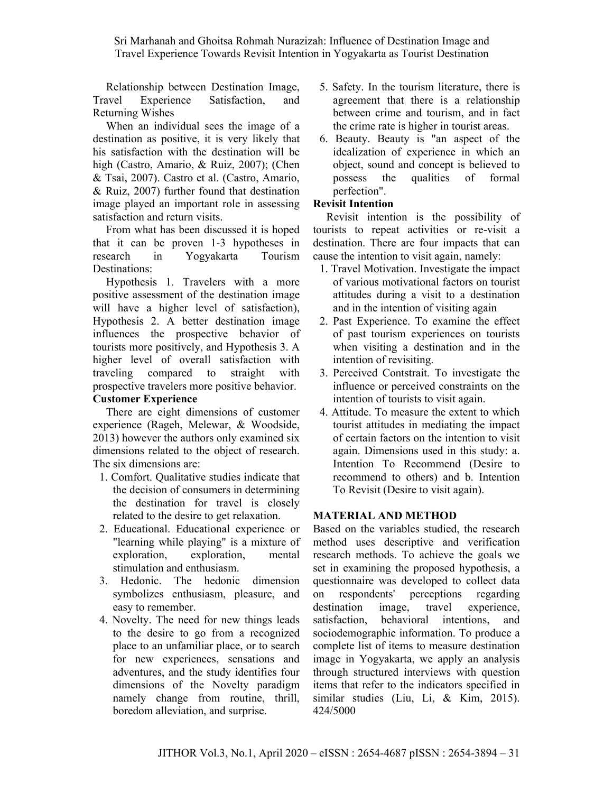Relationship between Destination Image, Travel Experience Satisfaction, and Returning Wishes

When an individual sees the image of a destination as positive, it is very likely that his satisfaction with the destination will be high (Castro, Amario, & Ruiz, 2007); (Chen & Tsai, 2007). Castro et al. (Castro, Amario, & Ruiz, 2007) further found that destination image played an important role in assessing satisfaction and return visits.

From what has been discussed it is hoped that it can be proven 1-3 hypotheses in research in Yogyakarta Tourism Destinations:

Hypothesis 1. Travelers with a more positive assessment of the destination image will have a higher level of satisfaction), Hypothesis 2. A better destination image influences the prospective behavior of tourists more positively, and Hypothesis 3. A higher level of overall satisfaction with traveling compared to straight with prospective travelers more positive behavior. **Customer Experience** 

There are eight dimensions of customer experience (Rageh, Melewar, & Woodside, 2013) however the authors only examined six dimensions related to the object of research. The six dimensions are:

- 1. Comfort. Qualitative studies indicate that the decision of consumers in determining the destination for travel is closely related to the desire to get relaxation.
- 2. Educational. Educational experience or "learning while playing" is a mixture of exploration, exploration, mental stimulation and enthusiasm.
- 3. Hedonic. The hedonic dimension symbolizes enthusiasm, pleasure, and easy to remember.
- 4. Novelty. The need for new things leads to the desire to go from a recognized place to an unfamiliar place, or to search for new experiences, sensations and adventures, and the study identifies four dimensions of the Novelty paradigm namely change from routine, thrill, boredom alleviation, and surprise.
- 5. Safety. In the tourism literature, there is agreement that there is a relationship between crime and tourism, and in fact the crime rate is higher in tourist areas.
- 6. Beauty. Beauty is "an aspect of the idealization of experience in which an object, sound and concept is believed to possess the qualities of formal perfection".

#### **Revisit Intention**

Revisit intention is the possibility of tourists to repeat activities or re-visit a destination. There are four impacts that can cause the intention to visit again, namely:

- 1. Travel Motivation. Investigate the impact of various motivational factors on tourist attitudes during a visit to a destination and in the intention of visiting again
- 2. Past Experience. To examine the effect of past tourism experiences on tourists when visiting a destination and in the intention of revisiting.
- 3. Perceived Contstrait. To investigate the influence or perceived constraints on the intention of tourists to visit again.
- 4. Attitude. To measure the extent to which tourist attitudes in mediating the impact of certain factors on the intention to visit again. Dimensions used in this study: a. Intention To Recommend (Desire to recommend to others) and b. Intention To Revisit (Desire to visit again).

## **MATERIAL AND METHOD**

Based on the variables studied, the research method uses descriptive and verification research methods. To achieve the goals we set in examining the proposed hypothesis, a questionnaire was developed to collect data on respondents' perceptions regarding destination image, travel experience, satisfaction, behavioral intentions, and sociodemographic information. To produce a complete list of items to measure destination image in Yogyakarta, we apply an analysis through structured interviews with question items that refer to the indicators specified in similar studies (Liu, Li, & Kim, 2015). 424/5000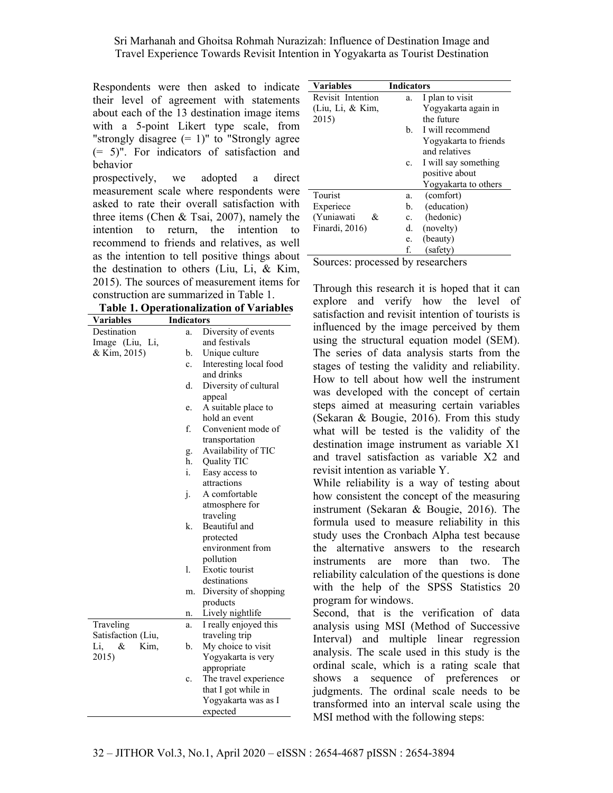Sri Marhanah and Ghoitsa Rohmah Nurazizah: Influence of Destination Image and Travel Experience Towards Revisit Intention in Yogyakarta as Tourist Destination

Respondents were then asked to indicate their level of agreement with statements about each of the 13 destination image items with a 5-point Likert type scale, from "strongly disagree  $(= 1)$ " to "Strongly agree" (= 5)". For indicators of satisfaction and behavior

prospectively, we adopted a direct measurement scale where respondents were asked to rate their overall satisfaction with three items (Chen & Tsai, 2007), namely the intention to return, the intention to recommend to friends and relatives, as well as the intention to tell positive things about the destination to others (Liu, Li, & Kim, 2015). The sources of measurement items for construction are summarized in Table 1.

**Table 1. Operationalization of Variables** 

| <b>Indicators</b><br>Diversity of events<br>Destination<br>a.<br>and festivals<br>Image (Liu, Li,<br>& Kim, 2015)<br>Unique culture<br>b.<br>Interesting local food<br>c.<br>and drinks<br>d.<br>Diversity of cultural<br>appeal<br>A suitable place to<br>e.<br>hold an event<br>f.<br>Convenient mode of<br>transportation<br>Availability of TIC<br>g.<br>h.<br>Quality TIC<br>i.<br>Easy access to<br>attractions<br>A comfortable<br>j.<br>atmosphere for<br>traveling<br>Beautiful and<br>k.<br>protected<br>environment from<br>pollution | <b>Variables</b> | <b>Tadie 1. Operationalization of variables</b> |
|--------------------------------------------------------------------------------------------------------------------------------------------------------------------------------------------------------------------------------------------------------------------------------------------------------------------------------------------------------------------------------------------------------------------------------------------------------------------------------------------------------------------------------------------------|------------------|-------------------------------------------------|
|                                                                                                                                                                                                                                                                                                                                                                                                                                                                                                                                                  |                  |                                                 |
|                                                                                                                                                                                                                                                                                                                                                                                                                                                                                                                                                  |                  |                                                 |
|                                                                                                                                                                                                                                                                                                                                                                                                                                                                                                                                                  |                  |                                                 |
|                                                                                                                                                                                                                                                                                                                                                                                                                                                                                                                                                  |                  |                                                 |
|                                                                                                                                                                                                                                                                                                                                                                                                                                                                                                                                                  |                  |                                                 |
|                                                                                                                                                                                                                                                                                                                                                                                                                                                                                                                                                  |                  |                                                 |
|                                                                                                                                                                                                                                                                                                                                                                                                                                                                                                                                                  |                  |                                                 |
|                                                                                                                                                                                                                                                                                                                                                                                                                                                                                                                                                  |                  |                                                 |
|                                                                                                                                                                                                                                                                                                                                                                                                                                                                                                                                                  |                  |                                                 |
|                                                                                                                                                                                                                                                                                                                                                                                                                                                                                                                                                  |                  |                                                 |
|                                                                                                                                                                                                                                                                                                                                                                                                                                                                                                                                                  |                  |                                                 |
|                                                                                                                                                                                                                                                                                                                                                                                                                                                                                                                                                  |                  |                                                 |
|                                                                                                                                                                                                                                                                                                                                                                                                                                                                                                                                                  |                  |                                                 |
|                                                                                                                                                                                                                                                                                                                                                                                                                                                                                                                                                  |                  |                                                 |
|                                                                                                                                                                                                                                                                                                                                                                                                                                                                                                                                                  |                  |                                                 |
|                                                                                                                                                                                                                                                                                                                                                                                                                                                                                                                                                  |                  |                                                 |
|                                                                                                                                                                                                                                                                                                                                                                                                                                                                                                                                                  |                  |                                                 |
|                                                                                                                                                                                                                                                                                                                                                                                                                                                                                                                                                  |                  |                                                 |
|                                                                                                                                                                                                                                                                                                                                                                                                                                                                                                                                                  |                  |                                                 |
|                                                                                                                                                                                                                                                                                                                                                                                                                                                                                                                                                  |                  |                                                 |
|                                                                                                                                                                                                                                                                                                                                                                                                                                                                                                                                                  |                  |                                                 |
|                                                                                                                                                                                                                                                                                                                                                                                                                                                                                                                                                  |                  |                                                 |
|                                                                                                                                                                                                                                                                                                                                                                                                                                                                                                                                                  |                  |                                                 |
| 1.<br>Exotic tourist                                                                                                                                                                                                                                                                                                                                                                                                                                                                                                                             |                  |                                                 |
| destinations                                                                                                                                                                                                                                                                                                                                                                                                                                                                                                                                     |                  |                                                 |
| Diversity of shopping<br>m.                                                                                                                                                                                                                                                                                                                                                                                                                                                                                                                      |                  |                                                 |
| products                                                                                                                                                                                                                                                                                                                                                                                                                                                                                                                                         |                  |                                                 |
| Lively nightlife<br>n.                                                                                                                                                                                                                                                                                                                                                                                                                                                                                                                           |                  |                                                 |
| Traveling<br>I really enjoyed this<br>a.                                                                                                                                                                                                                                                                                                                                                                                                                                                                                                         |                  |                                                 |
| Satisfaction (Liu,<br>traveling trip                                                                                                                                                                                                                                                                                                                                                                                                                                                                                                             |                  |                                                 |
| Kim,<br>b.<br>My choice to visit<br>Li,<br>&                                                                                                                                                                                                                                                                                                                                                                                                                                                                                                     |                  |                                                 |
| 2015)<br>Yogyakarta is very                                                                                                                                                                                                                                                                                                                                                                                                                                                                                                                      |                  |                                                 |
| appropriate                                                                                                                                                                                                                                                                                                                                                                                                                                                                                                                                      |                  |                                                 |
| The travel experience<br>c.                                                                                                                                                                                                                                                                                                                                                                                                                                                                                                                      |                  |                                                 |
| that I got while in                                                                                                                                                                                                                                                                                                                                                                                                                                                                                                                              |                  |                                                 |
| Yogyakarta was as I                                                                                                                                                                                                                                                                                                                                                                                                                                                                                                                              |                  |                                                 |
| expected                                                                                                                                                                                                                                                                                                                                                                                                                                                                                                                                         |                  |                                                 |

| <b>Variables</b>  | <b>Indicators</b> |                       |
|-------------------|-------------------|-----------------------|
| Revisit Intention | a.                | I plan to visit       |
| (Liu, Li, & Kim,  |                   | Yogyakarta again in   |
| 2015)             |                   | the future            |
|                   | b.                | I will recommend      |
|                   |                   | Yogyakarta to friends |
|                   |                   | and relatives         |
|                   | c.                | I will say something  |
|                   |                   | positive about        |
|                   |                   | Yogyakarta to others  |
| Tourist           | a.                | (comfort)             |
| Experiece         | b.                | (education)           |
| (Yuniawati<br>&   | c.                | (hedonic)             |
| Finardi, 2016)    | d.                | (novelty)             |
|                   | e.                | (beauty)              |
|                   | f.                | (safety)              |
|                   | 11                |                       |

Sources: processed by researchers

Through this research it is hoped that it can explore and verify how the level of satisfaction and revisit intention of tourists is influenced by the image perceived by them using the structural equation model (SEM). The series of data analysis starts from the stages of testing the validity and reliability. How to tell about how well the instrument was developed with the concept of certain steps aimed at measuring certain variables (Sekaran & Bougie, 2016). From this study what will be tested is the validity of the destination image instrument as variable X1 and travel satisfaction as variable X2 and revisit intention as variable Y.

While reliability is a way of testing about how consistent the concept of the measuring instrument (Sekaran & Bougie, 2016). The formula used to measure reliability in this study uses the Cronbach Alpha test because the alternative answers to the research instruments are more than two. The reliability calculation of the questions is done with the help of the SPSS Statistics 20 program for windows.

Second, that is the verification of data analysis using MSI (Method of Successive Interval) and multiple linear regression analysis. The scale used in this study is the ordinal scale, which is a rating scale that shows a sequence of preferences or judgments. The ordinal scale needs to be transformed into an interval scale using the MSI method with the following steps: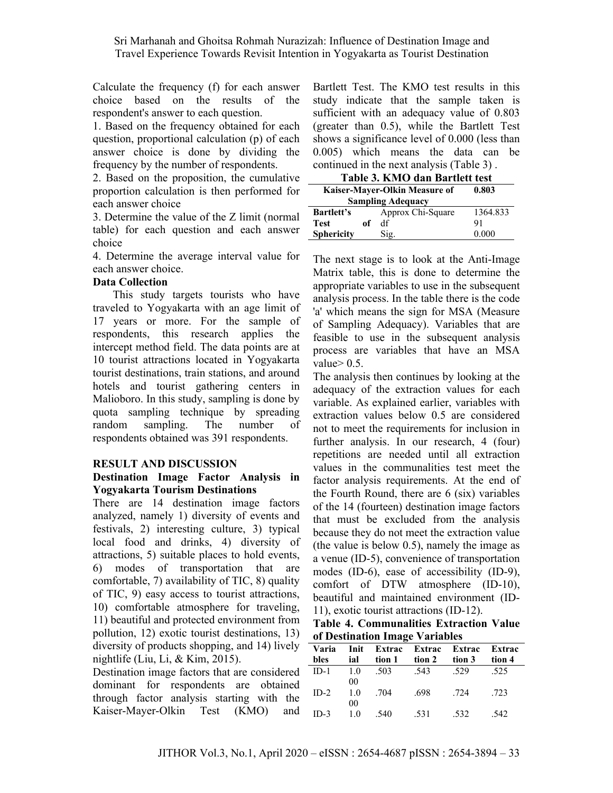Calculate the frequency (f) for each answer choice based on the results of the respondent's answer to each question.

1. Based on the frequency obtained for each question, proportional calculation (p) of each answer choice is done by dividing the frequency by the number of respondents.

2. Based on the proposition, the cumulative proportion calculation is then performed for each answer choice

3. Determine the value of the Z limit (normal table) for each question and each answer choice

4. Determine the average interval value for each answer choice.

#### **Data Collection**

This study targets tourists who have traveled to Yogyakarta with an age limit of 17 years or more. For the sample of respondents, this research applies the intercept method field. The data points are at 10 tourist attractions located in Yogyakarta tourist destinations, train stations, and around hotels and tourist gathering centers in Malioboro. In this study, sampling is done by quota sampling technique by spreading random sampling. The number of respondents obtained was 391 respondents.

#### **RESULT AND DISCUSSION**

#### **Destination Image Factor Analysis in Yogyakarta Tourism Destinations**

There are 14 destination image factors analyzed, namely 1) diversity of events and festivals, 2) interesting culture, 3) typical local food and drinks, 4) diversity of attractions, 5) suitable places to hold events, 6) modes of transportation that are comfortable, 7) availability of TIC, 8) quality of TIC, 9) easy access to tourist attractions, 10) comfortable atmosphere for traveling, 11) beautiful and protected environment from pollution, 12) exotic tourist destinations, 13) diversity of products shopping, and 14) lively nightlife (Liu, Li, & Kim, 2015).

Destination image factors that are considered dominant for respondents are obtained through factor analysis starting with the Kaiser-Mayer-Olkin Test (KMO) and Bartlett Test. The KMO test results in this study indicate that the sample taken is sufficient with an adequacy value of 0.803 (greater than 0.5), while the Bartlett Test shows a significance level of 0.000 (less than 0.005) which means the data can be continued in the next analysis (Table 3) .

| Table 3. KMO dan Bartlett test         |    |                   |          |  |  |
|----------------------------------------|----|-------------------|----------|--|--|
| Kaiser-Mayer-Olkin Measure of<br>0.803 |    |                   |          |  |  |
| <b>Sampling Adequacy</b>               |    |                   |          |  |  |
| <b>Bartlett's</b>                      |    | Approx Chi-Square | 1364.833 |  |  |
| <b>Test</b>                            | оf | df                | 91       |  |  |
| <b>Sphericity</b>                      |    | Sig.              | 0.000    |  |  |

The next stage is to look at the Anti-Image Matrix table, this is done to determine the appropriate variables to use in the subsequent analysis process. In the table there is the code 'a' which means the sign for MSA (Measure of Sampling Adequacy). Variables that are feasible to use in the subsequent analysis process are variables that have an MSA value $> 0.5$ .

The analysis then continues by looking at the adequacy of the extraction values for each variable. As explained earlier, variables with extraction values below 0.5 are considered not to meet the requirements for inclusion in further analysis. In our research, 4 (four) repetitions are needed until all extraction values in the communalities test meet the factor analysis requirements. At the end of the Fourth Round, there are 6 (six) variables of the 14 (fourteen) destination image factors that must be excluded from the analysis because they do not meet the extraction value (the value is below 0.5), namely the image as a venue (ID-5), convenience of transportation modes (ID-6), ease of accessibility (ID-9), comfort of DTW atmosphere (ID-10), beautiful and maintained environment (ID-11), exotic tourist attractions (ID-12).

**Table 4. Communalities Extraction Value of Destination Image Variables** 

|        | <b>UL DESUMATION TIMALE VALIADIES</b> |      |                                        |      |      |  |  |  |  |
|--------|---------------------------------------|------|----------------------------------------|------|------|--|--|--|--|
|        |                                       |      | Varia Init Extrac Extrac Extrac Extrac |      |      |  |  |  |  |
| bles   |                                       |      | ial tion 1 tion 2 tion 3 tion 4        |      |      |  |  |  |  |
| $ID-1$ |                                       |      | 1.0 .503 .543 .529                     |      | .525 |  |  |  |  |
|        | $00\,$                                |      |                                        |      |      |  |  |  |  |
| $ID-2$ | 1.0                                   | .704 | .698                                   | .724 | .723 |  |  |  |  |
|        | 00                                    |      |                                        |      |      |  |  |  |  |
| $ID-3$ | 1.0                                   | .540 | .531                                   | .532 | .542 |  |  |  |  |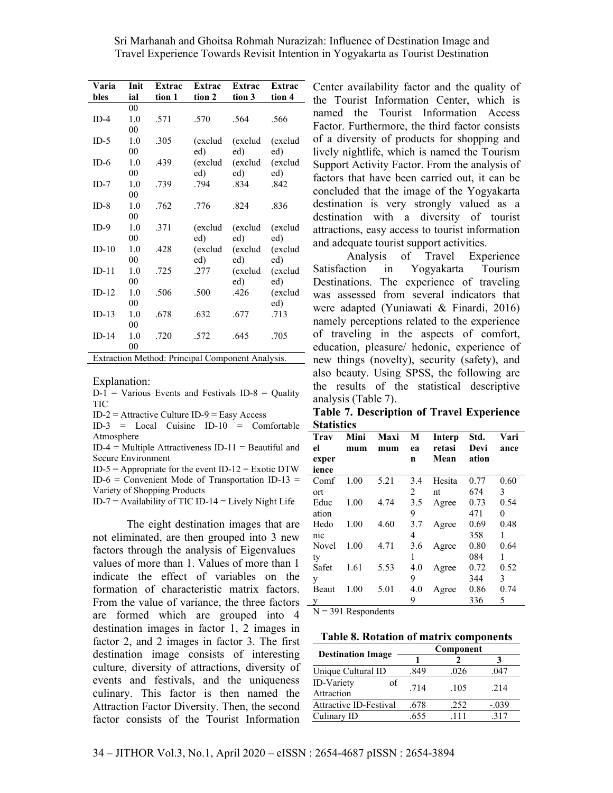| Varia   | Init           | Extrac | Extrac                                           | Extrac  | Extrac  |
|---------|----------------|--------|--------------------------------------------------|---------|---------|
| bles    | ial            | tion 1 | tion 2                                           | tion 3  | tion 4  |
|         | 00             |        |                                                  |         |         |
| $ID-4$  | 1.0            | .571   | .570                                             | .564    | .566    |
|         | 00             |        |                                                  |         |         |
| $ID-5$  | 1.0            | .305   | (exclud                                          | (exclud | (exclud |
|         | 00             |        | ed)                                              | ed)     | ed)     |
| $ID-6$  | 1.0            | .439   | (exclud                                          | (exclud | (exclud |
|         | 00             |        | ed)                                              | ed)     | ed)     |
| $ID-7$  | 1.0            | .739   | .794                                             | .834    | .842    |
|         | 00             |        |                                                  |         |         |
| $ID-8$  | 1.0            | .762   | .776                                             | .824    | .836    |
|         | 00             |        |                                                  |         |         |
| $ID-9$  | 1.0            | .371   | (exclud                                          | (exclud | (exclud |
|         | 00             |        | ed)                                              | ed)     | ed)     |
| $ID-10$ | 1.0            | .428   | (exclud                                          | (exclud | (exclud |
|         | 00             |        | ed)                                              | ed)     | ed)     |
| $ID-11$ | 1.0            | .725   | .277                                             | (exclud | (exclud |
|         | 00             |        |                                                  | ed)     | ed)     |
| $ID-12$ | 1.0            | .506   | .500                                             | .426    | (exclud |
|         | 00             |        |                                                  |         | ed)     |
| $ID-13$ | 1.0            | .678   | .632                                             | .677    | .713    |
|         | 00             |        |                                                  |         |         |
| $ID-14$ | 1.0            | .720   | .572                                             | .645    | .705    |
|         | 0 <sub>0</sub> |        |                                                  |         |         |
|         |                |        | Extraction Method: Principal Component Analysis. |         |         |

Explanation:

 $D-1$  = Various Events and Festivals ID-8 = Quality TIC

 $ID-2 =$  Attractive Culture  $ID-9 =$  Easy Access

ID-3 = Local Cuisine ID-10 = Comfortable **Statistics**  Atmosphere

 $ID-4 = Multiple$  Attractiveness  $ID-11 = Be$ autiful and Secure Environment

 $ID-5 = Appropriate for the event ID-12 = Exotic DTW$ ID-6 = Convenient Mode of Transportation ID-13 = Variety of Shopping Products

 $ID-7 =$  Availability of TIC ID-14 = Lively Night Life

 The eight destination images that are not eliminated, are then grouped into 3 new factors through the analysis of Eigenvalues values of more than 1. Values of more than 1 indicate the effect of variables on the formation of characteristic matrix factors. From the value of variance, the three factors are formed which are grouped into 4 destination images in factor 1, 2 images in factor 2, and 2 images in factor 3. The first destination image consists of interesting culture, diversity of attractions, diversity of events and festivals, and the uniqueness culinary. This factor is then named the Attraction Factor Diversity. Then, the second factor consists of the Tourist Information

Center availability factor and the quality of the Tourist Information Center, which is named the Tourist Information Access Factor. Furthermore, the third factor consists of a diversity of products for shopping and lively nightlife, which is named the Tourism Support Activity Factor. From the analysis of factors that have been carried out, it can be concluded that the image of the Yogyakarta destination is very strongly valued as a destination with a diversity of tourist attractions, easy access to tourist information and adequate tourist support activities.

 Analysis of Travel Experience Satisfaction in Yogyakarta Tourism Destinations. The experience of traveling was assessed from several indicators that were adapted (Yuniawati & Finardi, 2016) namely perceptions related to the experience of traveling in the aspects of comfort, education, pleasure/ hedonic, experience of new things (novelty), security (safety), and also beauty. Using SPSS, the following are the results of the statistical descriptive analysis (Table 7).

**Table 7. Description of Travel Experience** 

| Mini<br>mum | Maxi<br>mum | М<br>ea<br>n | <b>Interp</b><br>retasi<br>Mean | Std.<br>Devi<br>ation                | Vari<br>ance |
|-------------|-------------|--------------|---------------------------------|--------------------------------------|--------------|
| 1.00        | 5.21        | 3.4          | Hesita                          | 0.77                                 | 0.60         |
|             |             | 2            | nt                              | 674                                  | 3            |
| 1.00        | 4.74        | 3.5          | Agree                           | 0.73                                 | 0.54         |
|             |             | 9            |                                 | 471                                  | 0            |
| 1.00        | 4.60        | 3.7          | Agree                           | 0.69                                 | 0.48         |
|             |             | 4            |                                 | 358                                  | 1            |
| 1.00        | 4.71        | 3.6          | Agree                           | 0.80                                 | 0.64         |
|             |             | 1            |                                 | 084                                  |              |
| 1.61        | 5.53        | 4.0          | Agree                           | 0.72                                 | 0.52         |
|             |             | 9            |                                 | 344                                  | 3            |
| 1.00        | 5.01        | 4.0          | Agree                           | 0.86                                 | 0.74         |
|             |             | 9            |                                 | 336                                  | 5            |
|             |             |              |                                 | $\mathbf{r}$<br>$\sim$ $\sim$ $\sim$ |              |

 $N = 391$  Respondents

**Table 8. Rotation of matrix components** 

|                                       | Component |      |         |  |  |
|---------------------------------------|-----------|------|---------|--|--|
| <b>Destination Image</b>              |           |      |         |  |  |
| Unique Cultural ID                    | .849      | .026 | .047    |  |  |
| <b>ID-Variety</b><br>of<br>Attraction | .714      | .105 | .214    |  |  |
| Attractive ID-Festival                | .678      | .252 | $-.039$ |  |  |
| Culinary ID                           | .655      | 111  | 317     |  |  |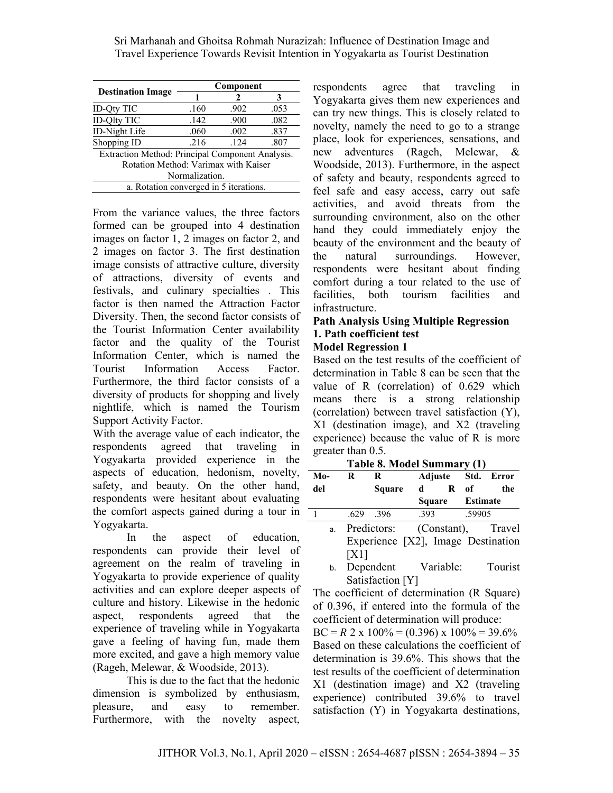|                                                  | Component |      |      |  |  |  |  |
|--------------------------------------------------|-----------|------|------|--|--|--|--|
| <b>Destination Image</b>                         |           |      |      |  |  |  |  |
| <b>ID-Oty TIC</b>                                | .160      | .902 | .053 |  |  |  |  |
| ID-Qlty TIC                                      | .142      | .900 | .082 |  |  |  |  |
| ID-Night Life                                    | .060      | .002 | .837 |  |  |  |  |
| Shopping ID                                      | .216      | .124 | .807 |  |  |  |  |
| Extraction Method: Principal Component Analysis. |           |      |      |  |  |  |  |
| Rotation Method: Varimax with Kaiser             |           |      |      |  |  |  |  |
| Normalization.                                   |           |      |      |  |  |  |  |
| a. Rotation converged in 5 iterations.           |           |      |      |  |  |  |  |

From the variance values, the three factors formed can be grouped into 4 destination images on factor 1, 2 images on factor 2, and 2 images on factor 3. The first destination image consists of attractive culture, diversity of attractions, diversity of events and festivals, and culinary specialties . This factor is then named the Attraction Factor Diversity. Then, the second factor consists of the Tourist Information Center availability factor and the quality of the Tourist Information Center, which is named the Tourist Information Access Factor. Furthermore, the third factor consists of a diversity of products for shopping and lively nightlife, which is named the Tourism Support Activity Factor.

With the average value of each indicator, the respondents agreed that traveling in Yogyakarta provided experience in the aspects of education, hedonism, novelty, safety, and beauty. On the other hand, respondents were hesitant about evaluating the comfort aspects gained during a tour in Yogyakarta.

 In the aspect of education, respondents can provide their level of agreement on the realm of traveling in Yogyakarta to provide experience of quality activities and can explore deeper aspects of culture and history. Likewise in the hedonic aspect, respondents agreed that the experience of traveling while in Yogyakarta gave a feeling of having fun, made them more excited, and gave a high memory value (Rageh, Melewar, & Woodside, 2013).

 This is due to the fact that the hedonic dimension is symbolized by enthusiasm, pleasure, and easy to remember. Furthermore, with the novelty aspect,

respondents agree that traveling in Yogyakarta gives them new experiences and can try new things. This is closely related to novelty, namely the need to go to a strange place, look for experiences, sensations, and new adventures (Rageh, Melewar, & Woodside, 2013). Furthermore, in the aspect of safety and beauty, respondents agreed to feel safe and easy access, carry out safe activities, and avoid threats from the surrounding environment, also on the other hand they could immediately enjoy the beauty of the environment and the beauty of the natural surroundings. However, respondents were hesitant about finding comfort during a tour related to the use of facilities, both tourism facilities and infrastructure.

# **Path Analysis Using Multiple Regression 1. Path coefficient test**

#### **Model Regression 1**

Based on the test results of the coefficient of determination in Table 8 can be seen that the value of R (correlation) of 0.629 which means there is a strong relationship (correlation) between travel satisfaction (Y), X1 (destination image), and X2 (traveling experience) because the value of R is more greater than 0.5.

|       | $1.0010$ of $1.1000$ . Duminity $\eta$ |                                    |        |              |          |                    |  |  |  |  |
|-------|----------------------------------------|------------------------------------|--------|--------------|----------|--------------------|--|--|--|--|
| $Mo-$ | $\bf{R}$                               | R                                  |        |              |          | Adjuste Std. Error |  |  |  |  |
| del   |                                        | <b>Square</b>                      | d      | $\mathbf{R}$ | 0f       | the                |  |  |  |  |
|       |                                        |                                    | Square |              | Estimate |                    |  |  |  |  |
|       | .629                                   | .396                               | .393   |              | .59905   |                    |  |  |  |  |
| a.    |                                        | Predictors:                        |        |              |          | (Constant), Travel |  |  |  |  |
|       |                                        | Experience [X2], Image Destination |        |              |          |                    |  |  |  |  |
|       | [X1]                                   |                                    |        |              |          |                    |  |  |  |  |

**Table 8. Model Summary (1)** 

b. Dependent Variable: Tourist Satisfaction [Y]

The coefficient of determination (R Square) of 0.396, if entered into the formula of the coefficient of determination will produce:

 $BC = R 2 \times 100\% = (0.396) \times 100\% = 39.6\%$ Based on these calculations the coefficient of determination is 39.6%. This shows that the test results of the coefficient of determination X1 (destination image) and X2 (traveling experience) contributed 39.6% to travel satisfaction (Y) in Yogyakarta destinations,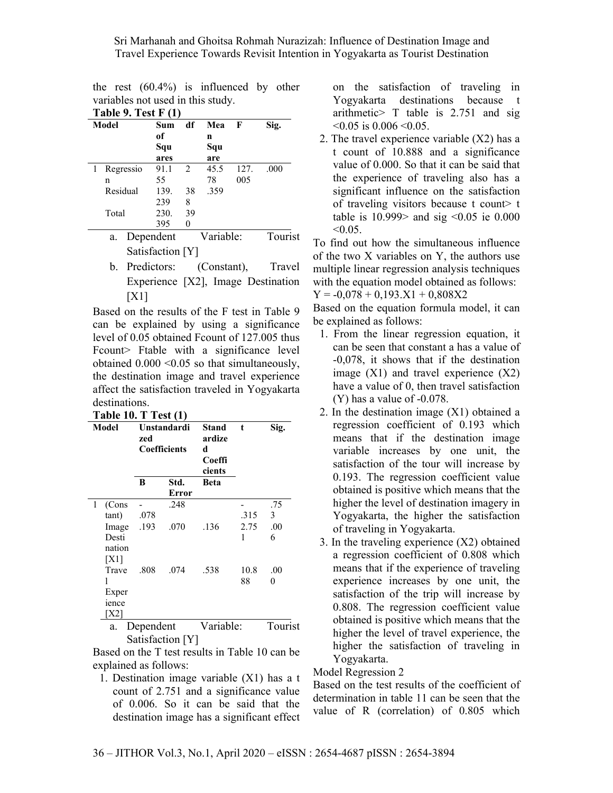the rest (60.4%) is influenced by other variables not used in this study.

| Table 9. Test $F(1)$ |           |                  |                               |           |      |         |  |
|----------------------|-----------|------------------|-------------------------------|-----------|------|---------|--|
|                      | Model     | Sum              | df                            | Mea       | F    | Sig.    |  |
|                      |           | of               |                               | n         |      |         |  |
|                      |           | Squ              |                               | Squ       |      |         |  |
|                      |           | ares             |                               | are       |      |         |  |
|                      | Regressio | 91.1             | $\mathfrak{D}_{\mathfrak{p}}$ | 45.5      | 127. | .000    |  |
|                      | n         | 55               |                               | 78        | 005  |         |  |
|                      | Residual  | 139.             | 38                            | .359      |      |         |  |
|                      |           | 239              | 8                             |           |      |         |  |
|                      | Total     | 230.             | 39                            |           |      |         |  |
|                      |           | 395              | $\theta$                      |           |      |         |  |
|                      | a.        | Dependent        |                               | Variable: |      | Tourist |  |
|                      |           | Satisfaction [Y] |                               |           |      |         |  |

b. Predictors: (Constant), Travel Experience [X2], Image Destination [X1]

Based on the results of the F test in Table 9 can be explained by using a significance level of 0.05 obtained Fcount of 127.005 thus Fcount> Ftable with a significance level obtained 0.000 <0.05 so that simultaneously, the destination image and travel experience affect the satisfaction traveled in Yogyakarta destinations.

| Table 10. T Test $(1)$ |  |  |
|------------------------|--|--|
|------------------------|--|--|

| Model           | Unstandardi<br>zed<br><b>Coefficients</b> |                      | <b>Stand</b><br>ardize<br>d<br>Coeffi<br>cients | t    | Sig.    |
|-----------------|-------------------------------------------|----------------------|-------------------------------------------------|------|---------|
|                 | B                                         | Std.<br><b>Error</b> | Beta                                            |      |         |
| 1<br>(Cons      |                                           | .248                 |                                                 |      | .75     |
| tant)           | .078                                      |                      |                                                 | .315 | 3       |
| Image           | .193                                      | .070                 | .136                                            | 2.75 | .00     |
| Desti<br>nation |                                           |                      |                                                 | 1    | 6       |
| [X1]            |                                           |                      |                                                 |      |         |
| Trave           | .808                                      | .074                 | .538                                            | 10.8 | .00     |
| 1               |                                           |                      |                                                 | 88   | 0       |
| Exper           |                                           |                      |                                                 |      |         |
| ience           |                                           |                      |                                                 |      |         |
| 'X21            |                                           |                      |                                                 |      |         |
| a.              | Dependent                                 |                      | Variable:                                       |      | Tourist |

Satisfaction [Y]

Based on the T test results in Table 10 can be explained as follows:

1. Destination image variable (X1) has a t count of 2.751 and a significance value of 0.006. So it can be said that the destination image has a significant effect on the satisfaction of traveling in Yogyakarta destinations because t arithmetic> T table is 2.751 and sig  $< 0.05$  is 0.006  $< 0.05$ .

2. The travel experience variable (X2) has a t count of 10.888 and a significance value of 0.000. So that it can be said that the experience of traveling also has a significant influence on the satisfaction of traveling visitors because t count> t table is  $10.999$  and sig <0.05 ie 0.000  $< 0.05$ .

To find out how the simultaneous influence of the two X variables on Y, the authors use multiple linear regression analysis techniques with the equation model obtained as follows:  $Y = -0.078 + 0.193.X1 + 0.808X2$ 

Based on the equation formula model, it can be explained as follows:

- 1. From the linear regression equation, it can be seen that constant a has a value of -0,078, it shows that if the destination image  $(X1)$  and travel experience  $(X2)$ have a value of 0, then travel satisfaction (Y) has a value of -0.078.
- 2. In the destination image (X1) obtained a regression coefficient of 0.193 which means that if the destination image variable increases by one unit, the satisfaction of the tour will increase by 0.193. The regression coefficient value obtained is positive which means that the higher the level of destination imagery in Yogyakarta, the higher the satisfaction of traveling in Yogyakarta.
- 3. In the traveling experience (X2) obtained a regression coefficient of 0.808 which means that if the experience of traveling experience increases by one unit, the satisfaction of the trip will increase by 0.808. The regression coefficient value obtained is positive which means that the higher the level of travel experience, the higher the satisfaction of traveling in Yogyakarta.

Model Regression 2

Based on the test results of the coefficient of determination in table 11 can be seen that the value of R (correlation) of 0.805 which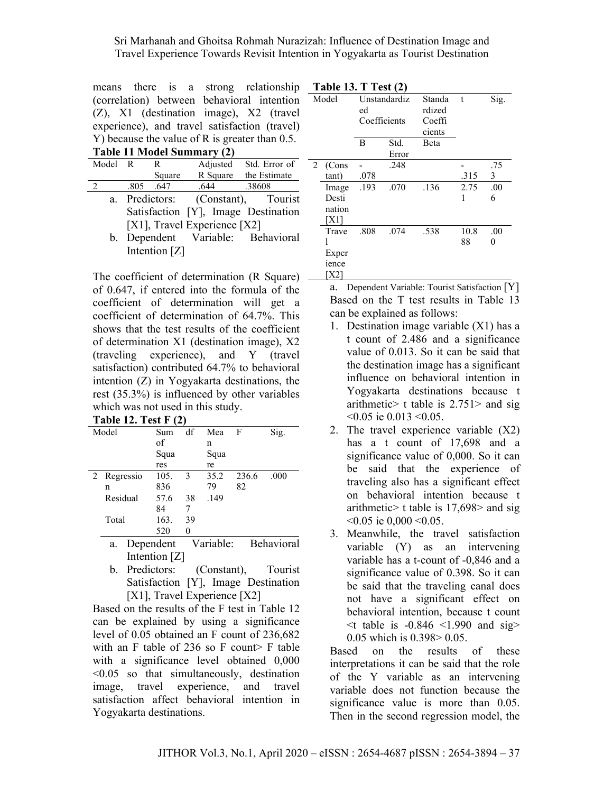|                                                   |  |  |  | means there is a strong relationship       |  |  |  |
|---------------------------------------------------|--|--|--|--------------------------------------------|--|--|--|
|                                                   |  |  |  | (correlation) between behavioral intention |  |  |  |
|                                                   |  |  |  | (Z), X1 (destination image), X2 (travel    |  |  |  |
| experience), and travel satisfaction (travel)     |  |  |  |                                            |  |  |  |
| Y) because the value of R is greater than $0.5$ . |  |  |  |                                            |  |  |  |
| Table 11 Model Summary (2)                        |  |  |  |                                            |  |  |  |

| Tuble 11 Mioucl Dumman |                                   |               |          |                                     |  |  |  |
|------------------------|-----------------------------------|---------------|----------|-------------------------------------|--|--|--|
| Model R                |                                   | R             | Adjusted | Std. Error of                       |  |  |  |
|                        |                                   | Square        |          | R Square the Estimate               |  |  |  |
| 2                      | .805                              | .647          | .644     | .38608                              |  |  |  |
| a.                     |                                   | Predictors:   |          | (Constant), Tourist                 |  |  |  |
|                        |                                   |               |          | Satisfaction [Y], Image Destination |  |  |  |
|                        | [X1], Travel Experience [X2]      |               |          |                                     |  |  |  |
|                        | b. Dependent Variable: Behavioral |               |          |                                     |  |  |  |
|                        |                                   | Intention [Z] |          |                                     |  |  |  |

The coefficient of determination (R Square) – of 0.647, if entered into the formula of the coefficient of determination will get a coefficient of determination of 64.7%. This shows that the test results of the coefficient of determination X1 (destination image), X2 (traveling experience), and Y (travel satisfaction) contributed 64.7% to behavioral intention (Z) in Yogyakarta destinations, the rest (35.3%) is influenced by other variables which was not used in this study. **Table 12. Test F (2)** 

| 1 adie 12. 1 est F (2) |           |      |               |      |       |       |  |
|------------------------|-----------|------|---------------|------|-------|-------|--|
| Model                  |           | Sum  | df            | Mea  | F     | Sig.  |  |
|                        |           | of   |               | n    |       |       |  |
|                        |           | Squa |               | Squa |       |       |  |
|                        |           | res  |               | re   |       |       |  |
| 2                      | Regressio | 105. | $\mathcal{E}$ | 35.2 | 236.6 | .000. |  |
|                        | n         | 836  |               | 79   | 82    |       |  |
|                        | Residual  | 57.6 | 38            | .149 |       |       |  |
|                        |           | 84   | 7             |      |       |       |  |
|                        | Total     | 163. | 39            |      |       |       |  |
|                        |           | 520  |               |      |       |       |  |

- a. Dependent Variable: Behavioral Intention [Z]
- b. Predictors: (Constant), Tourist Satisfaction [Y], Image Destination [X1], Travel Experience [X2]

Based on the results of the F test in Table 12 can be explained by using a significance level of 0.05 obtained an F count of 236,682 with an F table of 236 so F count> F table with a significance level obtained 0,000  $\leq 0.05$  so that simultaneously, destination image, travel experience, and travel satisfaction affect behavioral intention in Yogyakarta destinations.

| <b>Table 13. T Test (2)</b> |                                                    |                                    |               |                                                      |                   |                      |  |
|-----------------------------|----------------------------------------------------|------------------------------------|---------------|------------------------------------------------------|-------------------|----------------------|--|
| Model                       |                                                    | Unstandardiz<br>ed<br>Coefficients |               | Standa<br>$\mathbf{t}$<br>rdized<br>Coeffi<br>cients |                   | Sig.                 |  |
|                             |                                                    | B                                  | Std.<br>Error | <b>B</b> eta                                         |                   |                      |  |
| 2                           | (Cons<br>tant)<br>Image<br>Desti<br>nation<br>[X1] | .078<br>.193                       | .248<br>.070  | .136                                                 | .315<br>2.75<br>1 | .75<br>3<br>.00<br>6 |  |
|                             | Trave<br>1<br>Exper<br>ience<br>X21                | .808                               | .074          | .538                                                 | 10.8<br>88        | .00<br>0             |  |

a. Dependent Variable: Tourist Satisfaction [Y] Based on the T test results in Table 13 can be explained as follows:

- 1. Destination image variable (X1) has a t count of 2.486 and a significance value of 0.013. So it can be said that the destination image has a significant influence on behavioral intention in Yogyakarta destinations because t arithmetic> t table is  $2.751>$  and sig <0.05 ie 0.013 <0.05.
- 2. The travel experience variable (X2) has a t count of 17,698 and a significance value of 0,000. So it can be said that the experience of traveling also has a significant effect on behavioral intention because t arithmetic> t table is 17,698> and sig  $< 0.05$  ie  $0.000 < 0.05$ .
- 3. Meanwhile, the travel satisfaction variable (Y) as an intervening variable has a t-count of -0,846 and a significance value of 0.398. So it can be said that the traveling canal does not have a significant effect on behavioral intention, because t count  $\leq$ t table is -0.846  $\leq$ 1.990 and sig> 0.05 which is 0.398> 0.05.

Based on the results of these interpretations it can be said that the role of the Y variable as an intervening variable does not function because the significance value is more than 0.05. Then in the second regression model, the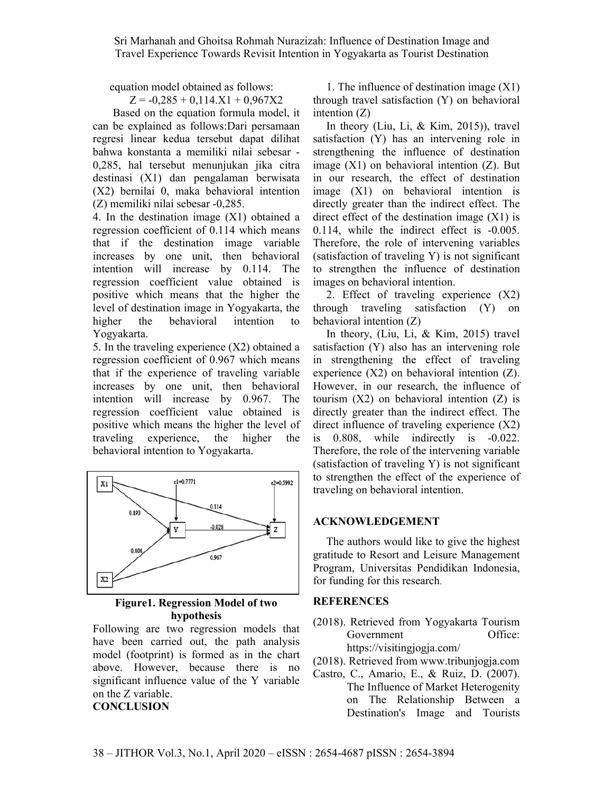equation model obtained as follows:

 $Z = -0,285 + 0,114.X1 + 0,967X2$ 

 Based on the equation formula model, it can be explained as follows:Dari persamaan regresi linear kedua tersebut dapat dilihat bahwa konstanta a memiliki nilai sebesar - 0,285, hal tersebut menunjukan jika citra destinasi (X1) dan pengalaman berwisata (X2) bernilai 0, maka behavioral intention (Z) memiliki nilai sebesar -0,285.

4. In the destination image (X1) obtained a regression coefficient of 0.114 which means that if the destination image variable increases by one unit, then behavioral intention will increase by 0.114. The regression coefficient value obtained is positive which means that the higher the level of destination image in Yogyakarta, the higher the behavioral intention to Yogyakarta.

5. In the traveling experience (X2) obtained a regression coefficient of 0.967 which means that if the experience of traveling variable increases by one unit, then behavioral intention will increase by 0.967. The regression coefficient value obtained is positive which means the higher the level of traveling experience, the higher the behavioral intention to Yogyakarta.



**Figure1. Regression Model of two hypothesis** 

Following are two regression models that have been carried out, the path analysis model (footprint) is formed as in the chart above. However, because there is no significant influence value of the Y variable on the Z variable. **CONCLUSION** 

1. The influence of destination image (X1) through travel satisfaction (Y) on behavioral intention (Z)

In theory (Liu, Li, & Kim, 2015)), travel satisfaction (Y) has an intervening role in strengthening the influence of destination image (X1) on behavioral intention (Z). But in our research, the effect of destination image (X1) on behavioral intention is directly greater than the indirect effect. The direct effect of the destination image  $(X1)$  is 0.114, while the indirect effect is -0.005. Therefore, the role of intervening variables (satisfaction of traveling Y) is not significant to strengthen the influence of destination images on behavioral intention.

2. Effect of traveling experience (X2) through traveling satisfaction (Y) on behavioral intention (Z)

In theory, (Liu, Li, & Kim, 2015) travel satisfaction (Y) also has an intervening role in strengthening the effect of traveling experience (X2) on behavioral intention (Z). However, in our research, the influence of tourism  $(X2)$  on behavioral intention  $(Z)$  is directly greater than the indirect effect. The direct influence of traveling experience (X2) is 0.808, while indirectly is -0.022. Therefore, the role of the intervening variable (satisfaction of traveling Y) is not significant to strengthen the effect of the experience of traveling on behavioral intention.

#### **ACKNOWLEDGEMENT**

The authors would like to give the highest gratitude to Resort and Leisure Management Program, Universitas Pendidikan Indonesia, for funding for this research.

#### **REFERENCES**

- (2018). Retrieved from Yogyakarta Tourism Government Office: https://visitingjogja.com/
- (2018). Retrieved from www.tribunjogja.com
- Castro, C., Amario, E., & Ruiz, D. (2007). The Influence of Market Heterogenity on The Relationship Between a Destination's Image and Tourists